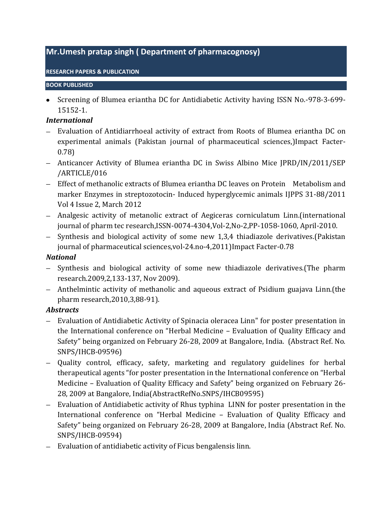# **Mr.Umesh pratap singh ( Department of pharmacognosy)**

#### **RESEARCH PAPERS & PUBLICATION**

#### **BOOK PUBLISHED**

Screening of Blumea eriantha DC for Antidiabetic Activity having ISSN No.-978-3-699- 15152-1.

#### *International*

- Evaluation of Antidiarrhoeal activity of extract from Roots of Blumea eriantha DC on experimental animals (Pakistan journal of pharmaceutical sciences,)Impact Facter-0.78)
- Anticancer Activity of Blumea eriantha DC in Swiss Albino Mice JPRD/IN/2011/SEP /ARTICLE/016
- Effect of methanolic extracts of Blumea eriantha DC leaves on Protein Metabolism and marker Enzymes in streptozotocin- Induced hyperglycemic animals IJPPS 31-88/2011 Vol 4 Issue 2, March 2012
- Analgesic activity of metanolic extract of Aegiceras corniculatum Linn.(international journal of pharm tec research,ISSN-0074-4304,Vol-2,No-2,PP-1058-1060, April-2010.
- Synthesis and biological activity of some new 1,3,4 thiadiazole derivatives. (Pakistan journal of pharmaceutical sciences,vol-24.no-4,2011)Impact Facter-0.78

### *National*

- Synthesis and biological activity of some new thiadiazole derivatives. (The pharm research.2009,2,133-137, Nov 2009).
- Anthelmintic activity of methanolic and aqueous extract of Psidium guajava Linn.(the pharm research,2010,3,88-91).

### *Abstracts*

- Evaluation of Antidiabetic Activity of Spinacia oleracea Linn" for poster presentation in the International conference on "Herbal Medicine – Evaluation of Quality Efficacy and Safety" being organized on February 26-28, 2009 at Bangalore, India. (Abstract Ref. No. SNPS/IHCB-09596)
- Quality control, efficacy, safety, marketing and regulatory guidelines for herbal therapeutical agents "for poster presentation in the International conference on "Herbal Medicine – Evaluation of Quality Efficacy and Safety" being organized on February 26- 28, 2009 at Bangalore, India(AbstractRefNo.SNPS/IHCB09595)
- Evaluation of Antidiabetic activity of Rhus typhina LINN for poster presentation in the International conference on "Herbal Medicine – Evaluation of Quality Efficacy and Safety" being organized on February 26-28, 2009 at Bangalore, India (Abstract Ref. No. SNPS/IHCB-09594)
- Evaluation of antidiabetic activity of Ficus bengalensis linn.